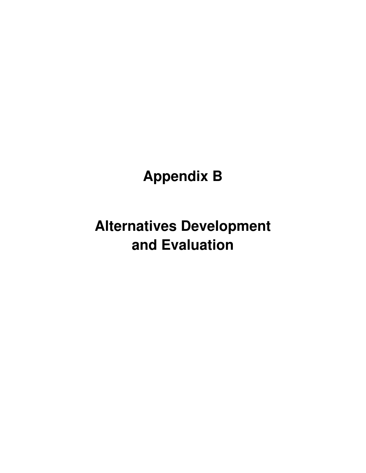## **Appendix B**

# **Alternatives Development and Evaluation**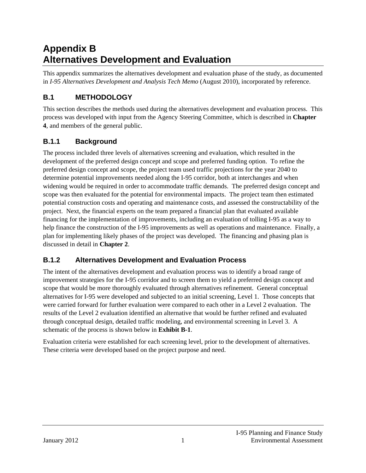## **Appendix B Alternatives Development and Evaluation**

This appendix summarizes the alternatives development and evaluation phase of the study, as documented in *I-95 Alternatives Development and Analysis Tech Memo* (August 2010), incorporated by reference.

## **B.1 METHODOLOGY**

This section describes the methods used during the alternatives development and evaluation process. This process was developed with input from the Agency Steering Committee, which is described in **Chapter 4**, and members of the general public.

## **B.1.1 Background**

The process included three levels of alternatives screening and evaluation, which resulted in the development of the preferred design concept and scope and preferred funding option. To refine the preferred design concept and scope, the project team used traffic projections for the year 2040 to determine potential improvements needed along the I-95 corridor, both at interchanges and when widening would be required in order to accommodate traffic demands. The preferred design concept and scope was then evaluated for the potential for environmental impacts. The project team then estimated potential construction costs and operating and maintenance costs, and assessed the constructability of the project. Next, the financial experts on the team prepared a financial plan that evaluated available financing for the implementation of improvements, including an evaluation of tolling I-95 as a way to help finance the construction of the I-95 improvements as well as operations and maintenance. Finally, a plan for implementing likely phases of the project was developed. The financing and phasing plan is discussed in detail in **Chapter 2**.

## **B.1.2 Alternatives Development and Evaluation Process**

The intent of the alternatives development and evaluation process was to identify a broad range of improvement strategies for the I-95 corridor and to screen them to yield a preferred design concept and scope that would be more thoroughly evaluated through alternatives refinement. General conceptual alternatives for I-95 were developed and subjected to an initial screening, Level 1. Those concepts that were carried forward for further evaluation were compared to each other in a Level 2 evaluation. The results of the Level 2 evaluation identified an alternative that would be further refined and evaluated through conceptual design, detailed traffic modeling, and environmental screening in Level 3. A schematic of the process is shown below in **Exhibit B-1**.

Evaluation criteria were established for each screening level, prior to the development of alternatives. These criteria were developed based on the project purpose and need.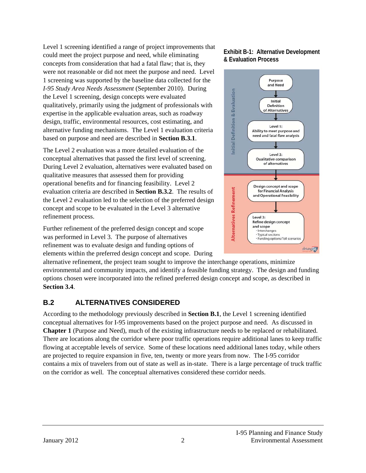Level 1 screening identified a range of project improvements that could meet the project purpose and need, while eliminating concepts from consideration that had a fatal flaw; that is, they were not reasonable or did not meet the purpose and need. Level 1 screening was supported by the baseline data collected for the *I-95 Study Area Needs Assessment* (September 2010). During the Level 1 screening, design concepts were evaluated qualitatively, primarily using the judgment of professionals with expertise in the applicable evaluation areas, such as roadway design, traffic, environmental resources, cost estimating, and alternative funding mechanisms. The Level 1 evaluation criteria based on purpose and need are described in **Section B.3.1**.

The Level 2 evaluation was a more detailed evaluation of the conceptual alternatives that passed the first level of screening. During Level 2 evaluation, alternatives were evaluated based on qualitative measures that assessed them for providing operational benefits and for financing feasibility. Level 2 evaluation criteria are described in **Section B.3.2**. The results of the Level 2 evaluation led to the selection of the preferred design concept and scope to be evaluated in the Level 3 alternative refinement process.

Further refinement of the preferred design concept and scope was performed in Level 3. The purpose of alternatives refinement was to evaluate design and funding options of elements within the preferred design concept and scope. During

alternative refinement, the project team sought to improve the interchange operations, minimize environmental and community impacts, and identify a feasible funding strategy. The design and funding options chosen were incorporated into the refined preferred design concept and scope, as described in **Section 3.4**.

## **B.2 ALTERNATIVES CONSIDERED**

According to the methodology previously described in **Section B.1**, the Level 1 screening identified conceptual alternatives for I-95 improvements based on the project purpose and need. As discussed in **Chapter 1** (Purpose and Need), much of the existing infrastructure needs to be replaced or rehabilitated. There are locations along the corridor where poor traffic operations require additional lanes to keep traffic flowing at acceptable levels of service. Some of these locations need additional lanes today, while others are projected to require expansion in five, ten, twenty or more years from now. The I-95 corridor contains a mix of travelers from out of state as well as in-state. There is a large percentage of truck traffic on the corridor as well. The conceptual alternatives considered these corridor needs.

#### **Exhibit B-1: Alternative Development & Evaluation Process**

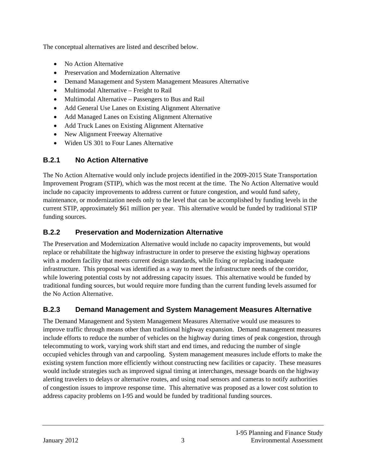The conceptual alternatives are listed and described below.

- No Action Alternative
- Preservation and Modernization Alternative
- Demand Management and System Management Measures Alternative
- Multimodal Alternative Freight to Rail
- Multimodal Alternative Passengers to Bus and Rail
- Add General Use Lanes on Existing Alignment Alternative
- Add Managed Lanes on Existing Alignment Alternative
- Add Truck Lanes on Existing Alignment Alternative
- New Alignment Freeway Alternative
- Widen US 301 to Four Lanes Alternative

## **B.2.1 No Action Alternative**

The No Action Alternative would only include projects identified in the 2009-2015 State Transportation Improvement Program (STIP), which was the most recent at the time. The No Action Alternative would include no capacity improvements to address current or future congestion, and would fund safety, maintenance, or modernization needs only to the level that can be accomplished by funding levels in the current STIP, approximately \$61 million per year. This alternative would be funded by traditional STIP funding sources.

## **B.2.2 Preservation and Modernization Alternative**

The Preservation and Modernization Alternative would include no capacity improvements, but would replace or rehabilitate the highway infrastructure in order to preserve the existing highway operations with a modern facility that meets current design standards, while fixing or replacing inadequate infrastructure. This proposal was identified as a way to meet the infrastructure needs of the corridor, while lowering potential costs by not addressing capacity issues. This alternative would be funded by traditional funding sources, but would require more funding than the current funding levels assumed for the No Action Alternative.

## **B.2.3 Demand Management and System Management Measures Alternative**

The Demand Management and System Management Measures Alternative would use measures to improve traffic through means other than traditional highway expansion. Demand management measures include efforts to reduce the number of vehicles on the highway during times of peak congestion, through telecommuting to work, varying work shift start and end times, and reducing the number of single occupied vehicles through van and carpooling. System management measures include efforts to make the existing system function more efficiently without constructing new facilities or capacity. These measures would include strategies such as improved signal timing at interchanges, message boards on the highway alerting travelers to delays or alternative routes, and using road sensors and cameras to notify authorities of congestion issues to improve response time. This alternative was proposed as a lower cost solution to address capacity problems on I-95 and would be funded by traditional funding sources.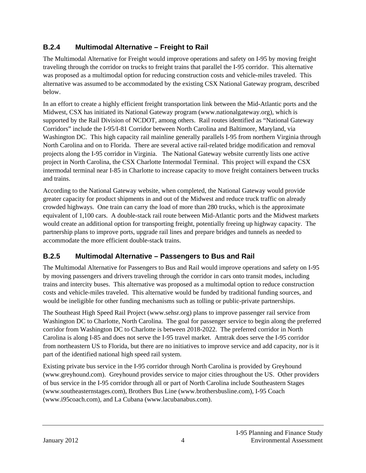## **B.2.4 Multimodal Alternative – Freight to Rail**

The Multimodal Alternative for Freight would improve operations and safety on I-95 by moving freight traveling through the corridor on trucks to freight trains that parallel the I-95 corridor. This alternative was proposed as a multimodal option for reducing construction costs and vehicle-miles traveled. This alternative was assumed to be accommodated by the existing CSX National Gateway program, described below.

In an effort to create a highly efficient freight transportation link between the Mid-Atlantic ports and the Midwest, CSX has initiated its National Gateway program (www.nationalgateway.org), which is supported by the Rail Division of NCDOT, among others. Rail routes identified as "National Gateway Corridors" include the I-95/I-81 Corridor between North Carolina and Baltimore, Maryland, via Washington DC. This high capacity rail mainline generally parallels I-95 from northern Virginia through North Carolina and on to Florida. There are several active rail-related bridge modification and removal projects along the I-95 corridor in Virginia. The National Gateway website currently lists one active project in North Carolina, the CSX Charlotte Intermodal Terminal. This project will expand the CSX intermodal terminal near I-85 in Charlotte to increase capacity to move freight containers between trucks and trains.

According to the National Gateway website, when completed, the National Gateway would provide greater capacity for product shipments in and out of the Midwest and reduce truck traffic on already crowded highways. One train can carry the load of more than 280 trucks, which is the approximate equivalent of 1,100 cars. A double-stack rail route between Mid-Atlantic ports and the Midwest markets would create an additional option for transporting freight, potentially freeing up highway capacity. The partnership plans to improve ports, upgrade rail lines and prepare bridges and tunnels as needed to accommodate the more efficient double-stack trains.

## **B.2.5 Multimodal Alternative – Passengers to Bus and Rail**

The Multimodal Alternative for Passengers to Bus and Rail would improve operations and safety on I-95 by moving passengers and drivers traveling through the corridor in cars onto transit modes, including trains and intercity buses. This alternative was proposed as a multimodal option to reduce construction costs and vehicle-miles traveled. This alternative would be funded by traditional funding sources, and would be ineligible for other funding mechanisms such as tolling or public-private partnerships.

The Southeast High Speed Rail Project (www.sehsr.org) plans to improve passenger rail service from Washington DC to Charlotte, North Carolina. The goal for passenger service to begin along the preferred corridor from Washington DC to Charlotte is between 2018-2022. The preferred corridor in North Carolina is along I-85 and does not serve the I-95 travel market. Amtrak does serve the I-95 corridor from northeastern US to Florida, but there are no initiatives to improve service and add capacity, nor is it part of the identified national high speed rail system.

Existing private bus service in the I-95 corridor through North Carolina is provided by Greyhound (www.greyhound.com). Greyhound provides service to major cities throughout the US. Other providers of bus service in the I-95 corridor through all or part of North Carolina include Southeastern Stages (www.southeasternstages.com), Brothers Bus Line (www.brothersbusline.com), I-95 Coach (www.i95coach.com), and La Cubana (www.lacubanabus.com).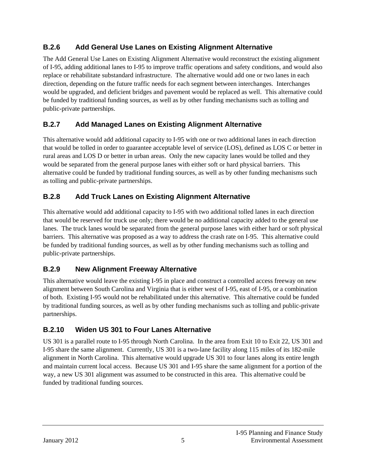## **B.2.6 Add General Use Lanes on Existing Alignment Alternative**

The Add General Use Lanes on Existing Alignment Alternative would reconstruct the existing alignment of I-95, adding additional lanes to I-95 to improve traffic operations and safety conditions, and would also replace or rehabilitate substandard infrastructure. The alternative would add one or two lanes in each direction, depending on the future traffic needs for each segment between interchanges. Interchanges would be upgraded, and deficient bridges and pavement would be replaced as well. This alternative could be funded by traditional funding sources, as well as by other funding mechanisms such as tolling and public-private partnerships.

## **B.2.7 Add Managed Lanes on Existing Alignment Alternative**

This alternative would add additional capacity to I-95 with one or two additional lanes in each direction that would be tolled in order to guarantee acceptable level of service (LOS), defined as LOS C or better in rural areas and LOS D or better in urban areas. Only the new capacity lanes would be tolled and they would be separated from the general purpose lanes with either soft or hard physical barriers. This alternative could be funded by traditional funding sources, as well as by other funding mechanisms such as tolling and public-private partnerships.

## **B.2.8 Add Truck Lanes on Existing Alignment Alternative**

This alternative would add additional capacity to I-95 with two additional tolled lanes in each direction that would be reserved for truck use only; there would be no additional capacity added to the general use lanes. The truck lanes would be separated from the general purpose lanes with either hard or soft physical barriers. This alternative was proposed as a way to address the crash rate on I-95. This alternative could be funded by traditional funding sources, as well as by other funding mechanisms such as tolling and public-private partnerships.

## **B.2.9 New Alignment Freeway Alternative**

This alternative would leave the existing I-95 in place and construct a controlled access freeway on new alignment between South Carolina and Virginia that is either west of I-95, east of I-95, or a combination of both. Existing I-95 would not be rehabilitated under this alternative. This alternative could be funded by traditional funding sources, as well as by other funding mechanisms such as tolling and public-private partnerships.

## **B.2.10 Widen US 301 to Four Lanes Alternative**

US 301 is a parallel route to I-95 through North Carolina. In the area from Exit 10 to Exit 22, US 301 and I-95 share the same alignment. Currently, US 301 is a two-lane facility along 115 miles of its 182-mile alignment in North Carolina. This alternative would upgrade US 301 to four lanes along its entire length and maintain current local access. Because US 301 and I-95 share the same alignment for a portion of the way, a new US 301 alignment was assumed to be constructed in this area. This alternative could be funded by traditional funding sources.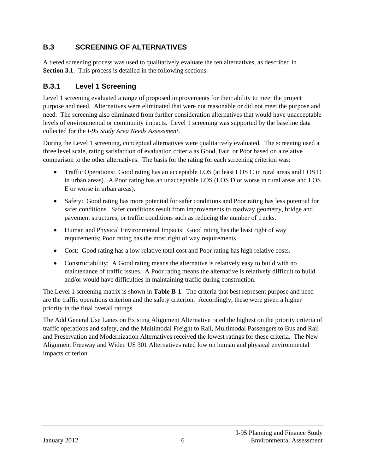## **B.3 SCREENING OF ALTERNATIVES**

A tiered screening process was used to qualitatively evaluate the ten alternatives, as described in **Section 3.1**. This process is detailed in the following sections.

## **B.3.1 Level 1 Screening**

Level 1 screening evaluated a range of proposed improvements for their ability to meet the project purpose and need. Alternatives were eliminated that were not reasonable or did not meet the purpose and need. The screening also eliminated from further consideration alternatives that would have unacceptable levels of environmental or community impacts. Level 1 screening was supported by the baseline data collected for the *I-95 Study Area Needs Assessment*.

During the Level 1 screening, conceptual alternatives were qualitatively evaluated. The screening used a three level scale, rating satisfaction of evaluation criteria as Good, Fair, or Poor based on a relative comparison to the other alternatives. The basis for the rating for each screening criterion was:

- Traffic Operations: Good rating has an acceptable LOS (at least LOS C in rural areas and LOS D in urban areas). A Poor rating has an unacceptable LOS (LOS D or worse in rural areas and LOS E or worse in urban areas).
- Safety: Good rating has more potential for safer conditions and Poor rating has less potential for safer conditions. Safer conditions result from improvements to roadway geometry, bridge and pavement structures, or traffic conditions such as reducing the number of trucks.
- Human and Physical Environmental Impacts: Good rating has the least right of way requirements; Poor rating has the most right of way requirements.
- Cost: Good rating has a low relative total cost and Poor rating has high relative costs.
- Constructability: A Good rating means the alternative is relatively easy to build with no maintenance of traffic issues. A Poor rating means the alternative is relatively difficult to build and/or would have difficulties in maintaining traffic during construction.

The Level 1 screening matrix is shown in **Table B-1**. The criteria that best represent purpose and need are the traffic operations criterion and the safety criterion. Accordingly, these were given a higher priority in the final overall ratings.

The Add General Use Lanes on Existing Alignment Alternative rated the highest on the priority criteria of traffic operations and safety, and the Multimodal Freight to Rail, Multimodal Passengers to Bus and Rail and Preservation and Modernization Alternatives received the lowest ratings for these criteria. The New Alignment Freeway and Widen US 301 Alternatives rated low on human and physical environmental impacts criterion.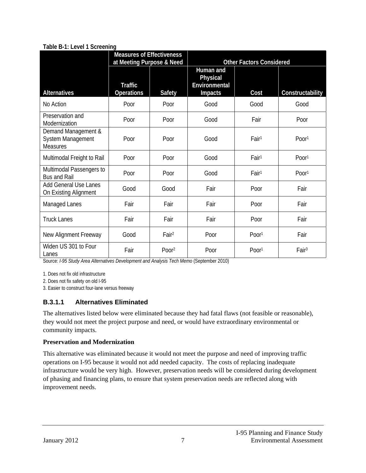#### **Table B-1: Level 1 Screening**

|                                                             | <b>Measures of Effectiveness</b><br>at Meeting Purpose & Need |                   | <b>Other Factors Considered</b>                          |                   |                   |
|-------------------------------------------------------------|---------------------------------------------------------------|-------------------|----------------------------------------------------------|-------------------|-------------------|
| <b>Alternatives</b>                                         | <b>Traffic</b><br><b>Operations</b>                           | <b>Safety</b>     | Human and<br>Physical<br>Environmental<br><b>Impacts</b> | Cost              | Constructability  |
| No Action                                                   | Poor                                                          | Poor              | Good                                                     | Good              | Good              |
| Preservation and<br>Modernization                           | Poor                                                          | Poor              | Good                                                     | Fair              | Poor              |
| Demand Management &<br>System Management<br><b>Measures</b> | Poor                                                          | Poor              | Good                                                     | Fair <sup>1</sup> | Poor <sup>1</sup> |
| Multimodal Freight to Rail                                  | Poor                                                          | Poor              | Good                                                     | Fair <sup>1</sup> | Poor <sup>1</sup> |
| Multimodal Passengers to<br><b>Bus and Rail</b>             | Poor                                                          | Poor              | Good                                                     | Fair <sup>1</sup> | Poor <sup>1</sup> |
| <b>Add General Use Lanes</b><br>On Existing Alignment       | Good                                                          | Good              | Fair                                                     | Poor              | Fair              |
| Managed Lanes                                               | Fair                                                          | Fair              | Fair                                                     | Poor              | Fair              |
| <b>Truck Lanes</b>                                          | Fair                                                          | Fair              | Fair                                                     | Poor              | Fair              |
| New Alignment Freeway                                       | Good                                                          | Fair <sup>2</sup> | Poor                                                     | Poor <sup>1</sup> | Fair              |
| Widen US 301 to Four<br>Lanes                               | Fair                                                          | Poor <sup>2</sup> | Poor                                                     | Poor <sup>1</sup> | Fair <sup>3</sup> |

Source: *I-95 Study Area Alternatives Development and Analysis Tech Memo* (September 2010)

1. Does not fix old infrastructure

2. Does not fix safety on old I-95

3. Easier to construct four-lane versus freeway

#### **B.3.1.1 Alternatives Eliminated**

The alternatives listed below were eliminated because they had fatal flaws (not feasible or reasonable), they would not meet the project purpose and need, or would have extraordinary environmental or community impacts.

#### **Preservation and Modernization**

This alternative was eliminated because it would not meet the purpose and need of improving traffic operations on I-95 because it would not add needed capacity. The costs of replacing inadequate infrastructure would be very high. However, preservation needs will be considered during development of phasing and financing plans, to ensure that system preservation needs are reflected along with improvement needs.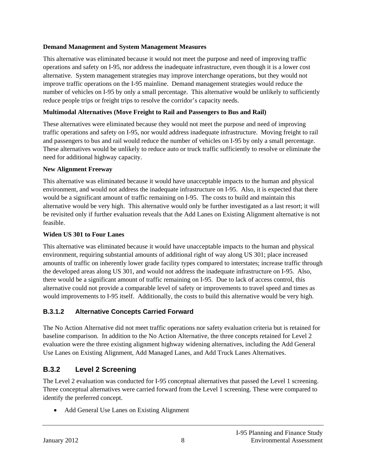#### **Demand Management and System Management Measures**

This alternative was eliminated because it would not meet the purpose and need of improving traffic operations and safety on I-95, nor address the inadequate infrastructure, even though it is a lower cost alternative. System management strategies may improve interchange operations, but they would not improve traffic operations on the I-95 mainline. Demand management strategies would reduce the number of vehicles on I-95 by only a small percentage. This alternative would be unlikely to sufficiently reduce people trips or freight trips to resolve the corridor's capacity needs.

#### **Multimodal Alternatives (Move Freight to Rail and Passengers to Bus and Rail)**

These alternatives were eliminated because they would not meet the purpose and need of improving traffic operations and safety on I-95, nor would address inadequate infrastructure. Moving freight to rail and passengers to bus and rail would reduce the number of vehicles on I-95 by only a small percentage. These alternatives would be unlikely to reduce auto or truck traffic sufficiently to resolve or eliminate the need for additional highway capacity.

#### **New Alignment Freeway**

This alternative was eliminated because it would have unacceptable impacts to the human and physical environment, and would not address the inadequate infrastructure on I-95. Also, it is expected that there would be a significant amount of traffic remaining on I-95. The costs to build and maintain this alternative would be very high. This alternative would only be further investigated as a last resort; it will be revisited only if further evaluation reveals that the Add Lanes on Existing Alignment alternative is not feasible.

#### **Widen US 301 to Four Lanes**

This alternative was eliminated because it would have unacceptable impacts to the human and physical environment, requiring substantial amounts of additional right of way along US 301; place increased amounts of traffic on inherently lower grade facility types compared to interstates; increase traffic through the developed areas along US 301, and would not address the inadequate infrastructure on I-95. Also, there would be a significant amount of traffic remaining on I-95. Due to lack of access control, this alternative could not provide a comparable level of safety or improvements to travel speed and times as would improvements to I-95 itself. Additionally, the costs to build this alternative would be very high.

#### **B.3.1.2 Alternative Concepts Carried Forward**

The No Action Alternative did not meet traffic operations nor safety evaluation criteria but is retained for baseline comparison. In addition to the No Action Alternative, the three concepts retained for Level 2 evaluation were the three existing alignment highway widening alternatives, including the Add General Use Lanes on Existing Alignment, Add Managed Lanes, and Add Truck Lanes Alternatives.

## **B.3.2 Level 2 Screening**

The Level 2 evaluation was conducted for I-95 conceptual alternatives that passed the Level 1 screening. Three conceptual alternatives were carried forward from the Level 1 screening. These were compared to identify the preferred concept.

Add General Use Lanes on Existing Alignment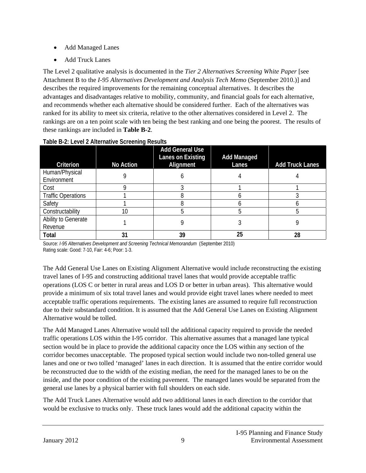- Add Managed Lanes
- Add Truck Lanes

The Level 2 qualitative analysis is documented in the *Tier 2 Alternatives Screening White Paper* [see Attachment B to the *I-95 Alternatives Development and Analysis Tech Memo* (September 2010.)] and describes the required improvements for the remaining conceptual alternatives. It describes the advantages and disadvantages relative to mobility, community, and financial goals for each alternative, and recommends whether each alternative should be considered further. Each of the alternatives was ranked for its ability to meet six criteria, relative to the other alternatives considered in Level 2. The rankings are on a ten point scale with ten being the best ranking and one being the poorest. The results of these rankings are included in **Table B-2**.

| Criterion                      | No Action | <b>Add General Use</b><br>Lanes on Existing<br>Alignment | <b>Add Managed</b><br>Lanes | <b>Add Truck Lanes</b> |
|--------------------------------|-----------|----------------------------------------------------------|-----------------------------|------------------------|
| Human/Physical<br>Environment  |           |                                                          |                             |                        |
| Cost                           |           |                                                          |                             |                        |
| <b>Traffic Operations</b>      |           |                                                          |                             |                        |
| Safety                         |           |                                                          |                             |                        |
| Constructability               | 10        |                                                          |                             |                        |
| Ability to Generate<br>Revenue |           |                                                          |                             |                        |
| Total                          | 31        | 39                                                       | 25                          | 28                     |

#### **Table B-2: Level 2 Alternative Screening Results**

Source: *I-95 Alternatives Development and Screening Technical Memorandum* (September 2010) Rating scale: Good: 7-10, Fair: 4-6; Poor: 1-3.

The Add General Use Lanes on Existing Alignment Alternative would include reconstructing the existing travel lanes of I-95 and constructing additional travel lanes that would provide acceptable traffic operations (LOS C or better in rural areas and LOS D or better in urban areas). This alternative would provide a minimum of six total travel lanes and would provide eight travel lanes where needed to meet acceptable traffic operations requirements. The existing lanes are assumed to require full reconstruction due to their substandard condition. It is assumed that the Add General Use Lanes on Existing Alignment Alternative would be tolled.

The Add Managed Lanes Alternative would toll the additional capacity required to provide the needed traffic operations LOS within the I-95 corridor. This alternative assumes that a managed lane typical section would be in place to provide the additional capacity once the LOS within any section of the corridor becomes unacceptable. The proposed typical section would include two non-tolled general use lanes and one or two tolled 'managed' lanes in each direction. It is assumed that the entire corridor would be reconstructed due to the width of the existing median, the need for the managed lanes to be on the inside, and the poor condition of the existing pavement. The managed lanes would be separated from the general use lanes by a physical barrier with full shoulders on each side.

The Add Truck Lanes Alternative would add two additional lanes in each direction to the corridor that would be exclusive to trucks only. These truck lanes would add the additional capacity within the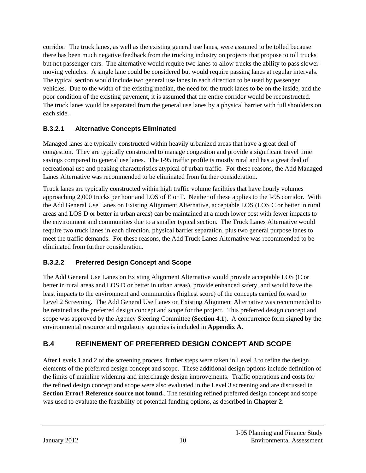corridor. The truck lanes, as well as the existing general use lanes, were assumed to be tolled because there has been much negative feedback from the trucking industry on projects that propose to toll trucks but not passenger cars. The alternative would require two lanes to allow trucks the ability to pass slower moving vehicles. A single lane could be considered but would require passing lanes at regular intervals. The typical section would include two general use lanes in each direction to be used by passenger vehicles. Due to the width of the existing median, the need for the truck lanes to be on the inside, and the poor condition of the existing pavement, it is assumed that the entire corridor would be reconstructed. The truck lanes would be separated from the general use lanes by a physical barrier with full shoulders on each side.

#### **B.3.2.1 Alternative Concepts Eliminated**

Managed lanes are typically constructed within heavily urbanized areas that have a great deal of congestion. They are typically constructed to manage congestion and provide a significant travel time savings compared to general use lanes. The I-95 traffic profile is mostly rural and has a great deal of recreational use and peaking characteristics atypical of urban traffic. For these reasons, the Add Managed Lanes Alternative was recommended to be eliminated from further consideration.

Truck lanes are typically constructed within high traffic volume facilities that have hourly volumes approaching 2,000 trucks per hour and LOS of E or F. Neither of these applies to the I-95 corridor. With the Add General Use Lanes on Existing Alignment Alternative, acceptable LOS (LOS C or better in rural areas and LOS D or better in urban areas) can be maintained at a much lower cost with fewer impacts to the environment and communities due to a smaller typical section. The Truck Lanes Alternative would require two truck lanes in each direction, physical barrier separation, plus two general purpose lanes to meet the traffic demands. For these reasons, the Add Truck Lanes Alternative was recommended to be eliminated from further consideration.

## **B.3.2.2 Preferred Design Concept and Scope**

The Add General Use Lanes on Existing Alignment Alternative would provide acceptable LOS (C or better in rural areas and LOS D or better in urban areas), provide enhanced safety, and would have the least impacts to the environment and communities (highest score) of the concepts carried forward to Level 2 Screening. The Add General Use Lanes on Existing Alignment Alternative was recommended to be retained as the preferred design concept and scope for the project. This preferred design concept and scope was approved by the Agency Steering Committee (**Section 4.1**). A concurrence form signed by the environmental resource and regulatory agencies is included in **Appendix A**.

## **B.4 REFINEMENT OF PREFERRED DESIGN CONCEPT AND SCOPE**

After Levels 1 and 2 of the screening process, further steps were taken in Level 3 to refine the design elements of the preferred design concept and scope. These additional design options include definition of the limits of mainline widening and interchange design improvements. Traffic operations and costs for the refined design concept and scope were also evaluated in the Level 3 screening and are discussed in **Section Error! Reference source not found.**. The resulting refined preferred design concept and scope was used to evaluate the feasibility of potential funding options, as described in **Chapter 2**.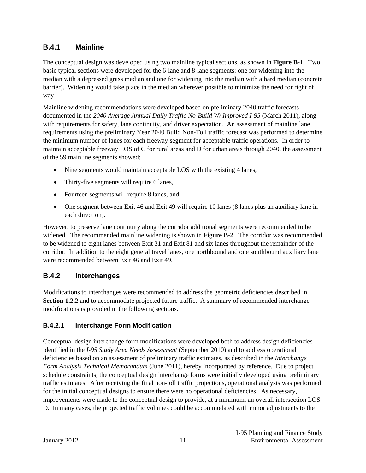## **B.4.1 Mainline**

The conceptual design was developed using two mainline typical sections, as shown in **Figure B-1**. Two basic typical sections were developed for the 6-lane and 8-lane segments: one for widening into the median with a depressed grass median and one for widening into the median with a hard median (concrete barrier). Widening would take place in the median wherever possible to minimize the need for right of way.

Mainline widening recommendations were developed based on preliminary 2040 traffic forecasts documented in the *2040 Average Annual Daily Traffic No-Build W/ Improved I-95* (March 2011), along with requirements for safety, lane continuity, and driver expectation. An assessment of mainline lane requirements using the preliminary Year 2040 Build Non-Toll traffic forecast was performed to determine the minimum number of lanes for each freeway segment for acceptable traffic operations. In order to maintain acceptable freeway LOS of C for rural areas and D for urban areas through 2040, the assessment of the 59 mainline segments showed:

- Nine segments would maintain acceptable LOS with the existing 4 lanes,
- Thirty-five segments will require 6 lanes,
- Fourteen segments will require 8 lanes, and
- One segment between Exit 46 and Exit 49 will require 10 lanes (8 lanes plus an auxiliary lane in each direction).

However, to preserve lane continuity along the corridor additional segments were recommended to be widened. The recommended mainline widening is shown in **Figure B-2**. The corridor was recommended to be widened to eight lanes between Exit 31 and Exit 81 and six lanes throughout the remainder of the corridor. In addition to the eight general travel lanes, one northbound and one southbound auxiliary lane were recommended between Exit 46 and Exit 49.

## **B.4.2 Interchanges**

Modifications to interchanges were recommended to address the geometric deficiencies described in **Section 1.2.2** and to accommodate projected future traffic. A summary of recommended interchange modifications is provided in the following sections.

## **B.4.2.1 Interchange Form Modification**

Conceptual design interchange form modifications were developed both to address design deficiencies identified in the *I-95 Study Area Needs Assessment* (September 2010) and to address operational deficiencies based on an assessment of preliminary traffic estimates, as described in the *Interchange Form Analysis Technical Memorandum* (June 2011), hereby incorporated by reference. Due to project schedule constraints, the conceptual design interchange forms were initially developed using preliminary traffic estimates. After receiving the final non-toll traffic projections, operational analysis was performed for the initial conceptual designs to ensure there were no operational deficiencies. As necessary, improvements were made to the conceptual design to provide, at a minimum, an overall intersection LOS D. In many cases, the projected traffic volumes could be accommodated with minor adjustments to the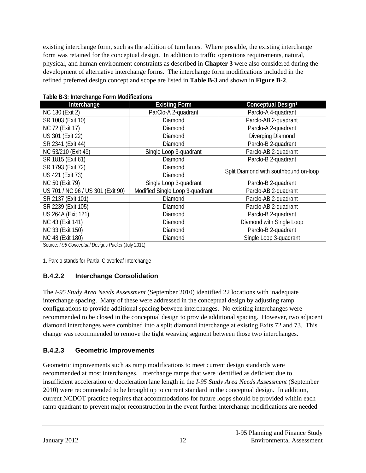existing interchange form, such as the addition of turn lanes. Where possible, the existing interchange form was retained for the conceptual design. In addition to traffic operations requirements, natural, physical, and human environment constraints as described in **Chapter 3** were also considered during the development of alternative interchange forms. The interchange form modifications included in the refined preferred design concept and scope are listed in **Table B-3** and shown in **Figure B-2**.

| Interchange                       | <b>Existing Form</b>            | Conceptual Design <sup>1</sup>        |  |
|-----------------------------------|---------------------------------|---------------------------------------|--|
| NC 130 (Exit 2)                   | ParClo-A 2-quadrant             | Parclo-A 4-quadrant                   |  |
| SR 1003 (Exit 10)                 | Diamond                         | Parclo-AB 2-quadrant                  |  |
| NC 72 (Exit 17)                   | Diamond                         | Parclo-A 2-quadrant                   |  |
| US 301 (Exit 22)                  | Diamond                         | Diverging Diamond                     |  |
| SR 2341 (Exit 44)                 | Diamond                         | Parclo-B 2-quadrant                   |  |
| NC 53/210 (Exit 49)               | Single Loop 3-quadrant          | Parclo-AB 2-quadrant                  |  |
| SR 1815 (Exit 61)                 | Diamond                         | Parclo-B 2-quadrant                   |  |
| SR 1793 (Exit 72)                 | Diamond                         | Split Diamond with southbound on-loop |  |
| US 421 (Exit 73)                  | Diamond                         |                                       |  |
| <b>NC 50 (Exit 79)</b>            | Single Loop 3-quadrant          | Parclo-B 2-quadrant                   |  |
| US 701 / NC 96 / US 301 (Exit 90) | Modified Single Loop 3-quadrant | Parclo-AB 2-quadrant                  |  |
| SR 2137 (Exit 101)                | Diamond                         | Parclo-AB 2-quadrant                  |  |
| SR 2239 (Exit 105)                | Diamond                         | Parclo-AB 2-quadrant                  |  |
| US 264A (Exit 121)                | Diamond                         | Parclo-B 2-quadrant                   |  |
| NC 43 (Exit 141)                  | Diamond                         | Diamond with Single Loop              |  |
| NC 33 (Exit 150)                  | Diamond                         | Parclo-B 2-quadrant                   |  |
| NC 48 (Exit 180)                  | Diamond                         | Single Loop 3-quadrant                |  |

**Table B-3: Interchange Form Modifications** 

Source: *I-95 Conceptual Designs Packet* (July 2011)

1. Parclo stands for Partial Cloverleaf Interchange

## **B.4.2.2 Interchange Consolidation**

The *I-95 Study Area Needs Assessment* (September 2010) identified 22 locations with inadequate interchange spacing. Many of these were addressed in the conceptual design by adjusting ramp configurations to provide additional spacing between interchanges. No existing interchanges were recommended to be closed in the conceptual design to provide additional spacing. However, two adjacent diamond interchanges were combined into a split diamond interchange at existing Exits 72 and 73. This change was recommended to remove the tight weaving segment between those two interchanges.

#### **B.4.2.3 Geometric Improvements**

Geometric improvements such as ramp modifications to meet current design standards were recommended at most interchanges. Interchange ramps that were identified as deficient due to insufficient acceleration or deceleration lane length in the *I-95 Study Area Needs Assessment* (September 2010) were recommended to be brought up to current standard in the conceptual design. In addition, current NCDOT practice requires that accommodations for future loops should be provided within each ramp quadrant to prevent major reconstruction in the event further interchange modifications are needed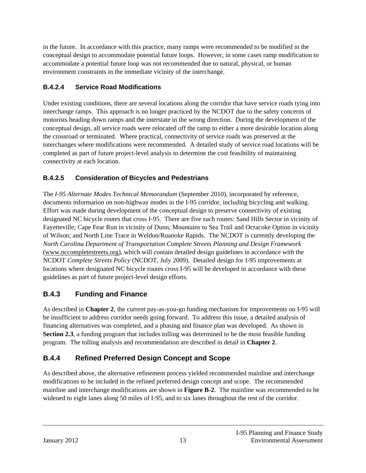in the future. In accordance with this practice, many ramps were recommended to be modified in the conceptual design to accommodate potential future loops. However, in some cases ramp modification to accommodate a potential future loop was not recommended due to natural, physical, or human environment constraints in the immediate vicinity of the interchange.

## **B.4.2.4 Service Road Modifications**

Under existing conditions, there are several locations along the corridor that have service roads tying into interchange ramps. This approach is no longer practiced by the NCDOT due to the safety concerns of motorists heading down ramps and the interstate in the wrong direction. During the development of the conceptual design, all service roads were relocated off the ramp to either a more desirable location along the crossroad or terminated. Where practical, connectivity of service roads was preserved at the interchanges where modifications were recommended. A detailed study of service road locations will be completed as part of future project-level analysis to determine the cost feasibility of maintaining connectivity at each location.

## **B.4.2.5 Consideration of Bicycles and Pedestrians**

The *I-95 Alternate Modes Technical Memorandum* (September 2010), incorporated by reference, documents information on non-highway modes in the I-95 corridor, including bicycling and walking. Effort was made during development of the conceptual design to preserve connectivity of existing designated NC bicycle routes that cross I-95. There are five such routes: Sand Hills Sector in vicinity of Fayetteville; Cape Fear Run in vicinity of Dunn; Mountains to Sea Trail and Ocracoke Option in vicinity of Wilson; and North Line Trace in Weldon/Roanoke Rapids. The NCDOT is currently developing the *North Carolina Department of Transportation Complete Streets Planning and Design Framework* (www.nccompletestreets.org), which will contain detailed design guidelines in accordance with the NCDOT *Complete Streets Policy* (NCDOT, July 2009). Detailed design for I-95 improvements at locations where designated NC bicycle routes cross I-95 will be developed in accordance with these guidelines as part of future project-level design efforts.

## **B.4.3 Funding and Finance**

As described in **Chapter 2**, the current pay-as-you-go funding mechanism for improvements on I-95 will be insufficient to address corridor needs going forward. To address this issue, a detailed analysis of financing alternatives was completed, and a phasing and finance plan was developed. As shown in **Section 2.3**, a funding program that includes tolling was determined to be the most feasible funding program. The tolling analysis and recommendation are described in detail in **Chapter 2**.

## **B.4.4 Refined Preferred Design Concept and Scope**

As described above, the alternative refinement process yielded recommended mainline and interchange modifications to be included in the refined preferred design concept and scope. The recommended mainline and interchange modifications are shown in **Figure B-2**. The mainline was recommended to be widened to eight lanes along 50 miles of I-95, and to six lanes throughout the rest of the corridor.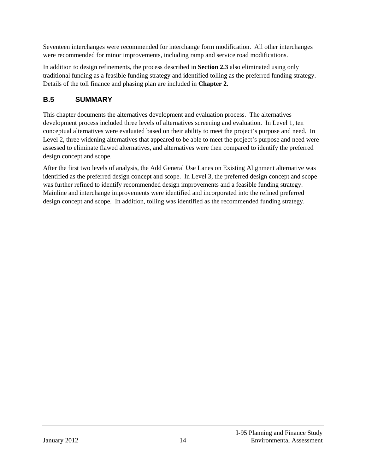Seventeen interchanges were recommended for interchange form modification. All other interchanges were recommended for minor improvements, including ramp and service road modifications.

In addition to design refinements, the process described in **Section 2.3** also eliminated using only traditional funding as a feasible funding strategy and identified tolling as the preferred funding strategy. Details of the toll finance and phasing plan are included in **Chapter 2**.

## **B.5 SUMMARY**

This chapter documents the alternatives development and evaluation process. The alternatives development process included three levels of alternatives screening and evaluation. In Level 1, ten conceptual alternatives were evaluated based on their ability to meet the project's purpose and need. In Level 2, three widening alternatives that appeared to be able to meet the project's purpose and need were assessed to eliminate flawed alternatives, and alternatives were then compared to identify the preferred design concept and scope.

After the first two levels of analysis, the Add General Use Lanes on Existing Alignment alternative was identified as the preferred design concept and scope. In Level 3, the preferred design concept and scope was further refined to identify recommended design improvements and a feasible funding strategy. Mainline and interchange improvements were identified and incorporated into the refined preferred design concept and scope. In addition, tolling was identified as the recommended funding strategy.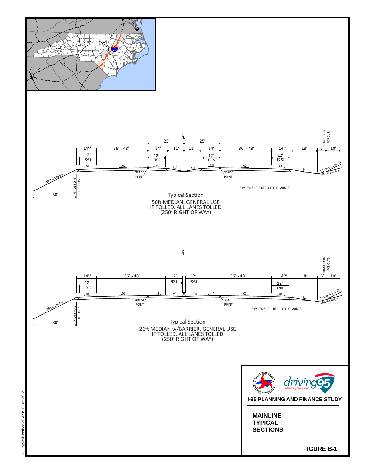